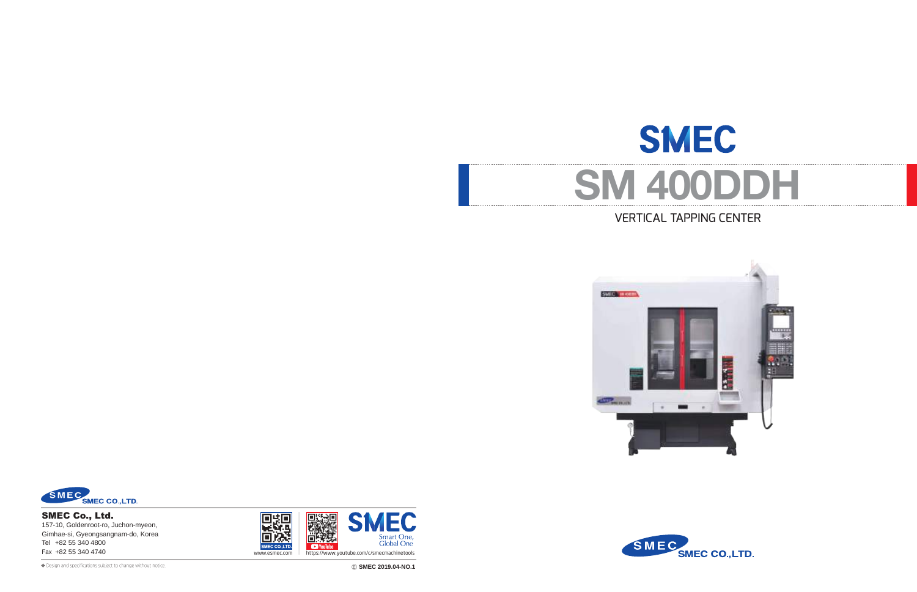# **SMEC SM 400DDH** VERTICAL TAPPING CENTER





❖ Ⓔ **SMEC 2019.04-NO.1** Design and specifications subject to change without notice.

SMEC Co., Ltd. 157-10, Goldenroot-ro, Juchon-myeon, Gimhae-si, Gyeongsangnam-do, Korea Tel +82 55 340 4800



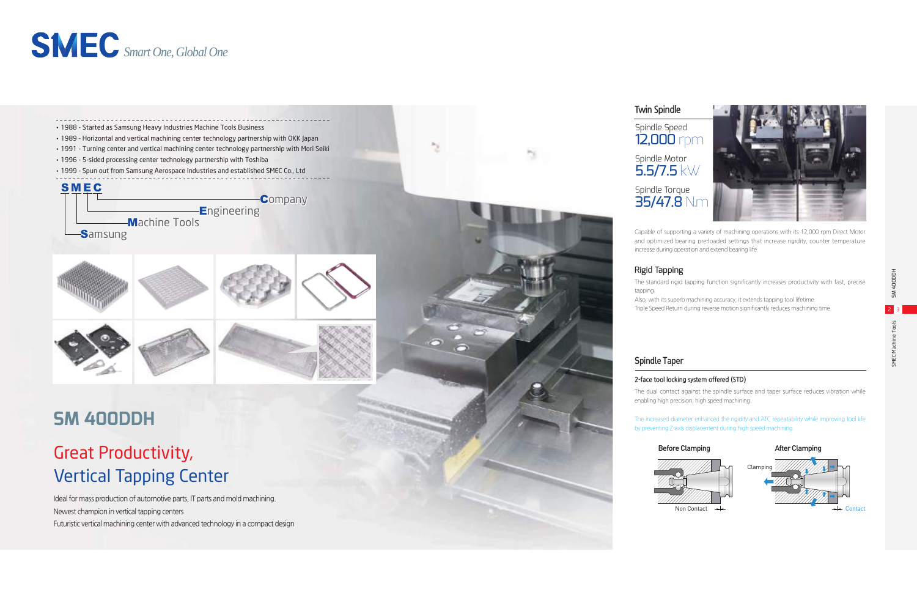Ideal for mass production of automotive parts, IT parts and mold machining. Newest champion in vertical tapping centers Futuristic vertical machining center with advanced technology in a compact design

## Great Productivity, Vertical Tapping Center





≅







and optimized bearing pre-loaded settings that increase rigidity, counter temperature increase during operation and extend bearing life.

The increased diameter enhanced the rigidity and ATC repeatability while improving tool life by preventing Z-axis displacement during high speed machining.

### Before Clamping

After Clamping

The standard rigid tapping function significantly increases productivity with fast, precise

Also, with its superb machining accuracy, it extends tapping tool lifetime. Triple Speed Return during reverse motion significantly reduces machining time.

### **2-face tool locking system offered (STD)**

The dual contact against the spindle surface and taper surface reduces vibration while enabling high precision, high speed machining.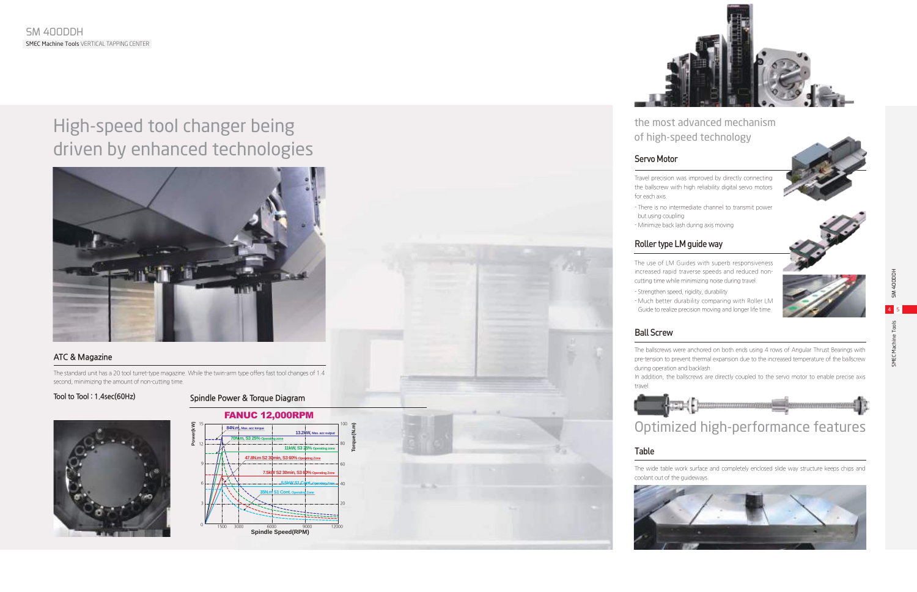

### Roller type LM guide way

The use of LM Guides with superb responsiveness increased rapid traverse speeds and reduced noncutting time while minimizing noise during travel.

- 
- Much better durability comparing with Roller LM Guide to realize precision moving and longer life time

### Servo Motor

- There is no intermediate channel to transmit power
- Minimize back lash during axis moving
- Strengthen speed, rigidity, durability

Travel precision was improved by directly connecting the ballscrew with high reliability digital servo motors

for each axis.

- but using coupling
- 

### Ball Screw

The ballscrews were anchored on both ends using 4 rows of Angular Thrust Bearings with pre-tension to prevent thermal expansion due to the increased temperature of the ballscrew during operation and backlash.

In addition, the ballscrews are directly coupled to the servo motor to enable precise axis

travel.



### Table



The wide table work surface and completely enclosed slide way structure keeps chips and coolant out of the guideways.



### **ATC & Magazine**

The standard unit has a 20 tool turret-type magazine. While the twin-arm type offers fast tool changes of 1.4 second, minimizing the amount of non-cutting time.

### **Tool to Tool : 1.4sec(60Hz)**

### the most advanced mechanism of high-speed technology



# High-speed tool changer being driven by enhanced technologies



### **Spindle Power & Torque Diagram**





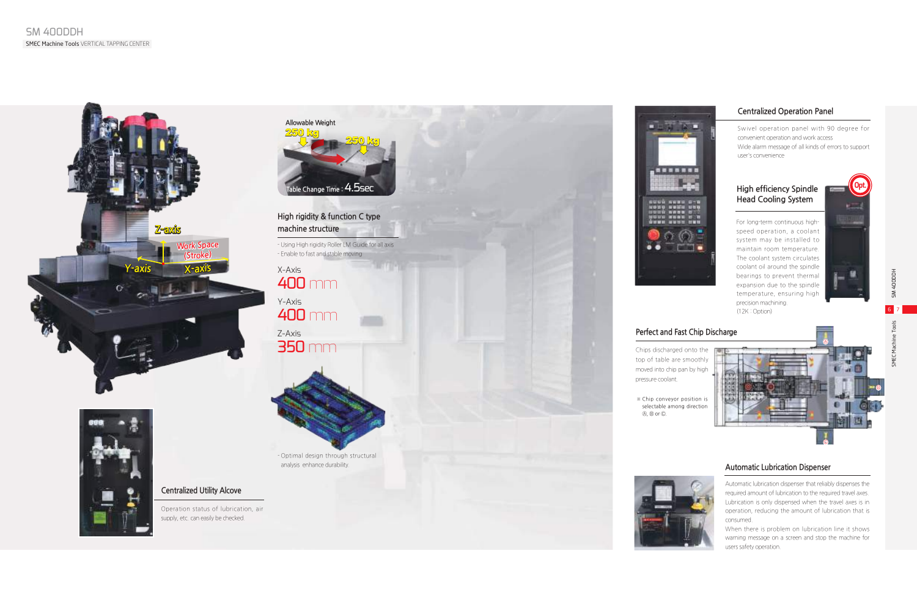### **Centralized Utility Alcove**

Operation status of lubrication, air supply, etc. can easily be checked.

Z-Axis 350 mm



X-Axis 400 mm Y-Axis 400 mm

### **High rigidity & function C type machine structure**

- Using High rigidity Roller LM Guide for all axis - Enable to fast and stable moving

- Optimal design through structural analysis enhance durability.







### **Centralized Operation Panel**

Swivel operation panel with 90 degree for convenient operation and work access Wide alarm message of all kinds of errors to support user's convenience

### **Perfect and Fast Chip Discharge**

Chips discharged onto the top of table are smoothly moved into chip pan by high

### **Automatic Lubrication Dispenser**

Automatic lubrication dispenser that reliably dispenses the required amount of lubrication to the required travel axes. Lubrication is only dispensed when the travel axes is in operation, reducing the amount of lubrication that is consumed.

When there is problem on lubrication line it shows warning message on a screen and stop the machine for users safety operation.

HOODDA WS







### **High efficiency Spindle Head Cooling System**

For long-term continuous highspeed operation, a coolant system may be installed to maintain room temperature. The coolant system circulates coolant oil around the spindle bearings to prevent thermal expansion due to the spindle temperature, ensuring high precision machining. (12K : Option)







※ Chip conveyor position is selectable among direction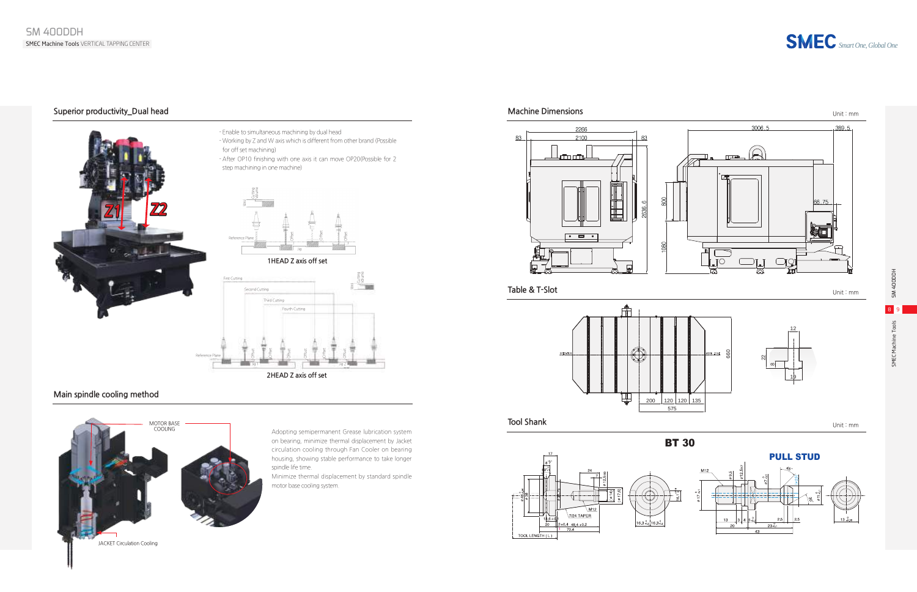

SMEC Machine Tools SM 400DDH





### **Main spindle cooling method**









**1HEAD Z axis off set**



**2HEAD Z axis off set**

### - Enable to simultaneous machining by dual head - Working by Z and W axis which is different from other brand (Possible for off set machining)

- After OP10 finishing with one axis it can move OP20(Possible for 2 step machining in one machine)